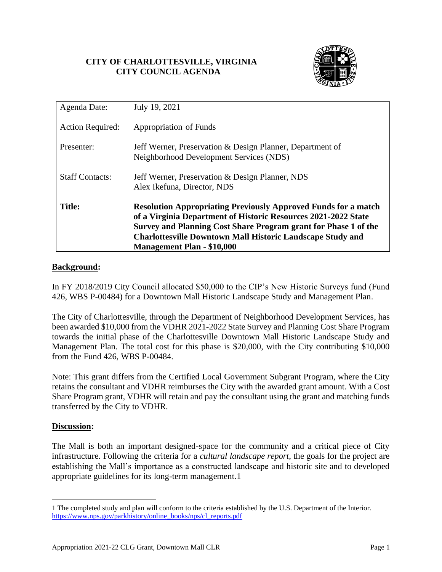# **CITY OF CHARLOTTESVILLE, VIRGINIA CITY COUNCIL AGENDA**



| Agenda Date:            | July 19, 2021                                                                                                                                                                                                                                                                                                        |
|-------------------------|----------------------------------------------------------------------------------------------------------------------------------------------------------------------------------------------------------------------------------------------------------------------------------------------------------------------|
| <b>Action Required:</b> | Appropriation of Funds                                                                                                                                                                                                                                                                                               |
| Presenter:              | Jeff Werner, Preservation & Design Planner, Department of<br>Neighborhood Development Services (NDS)                                                                                                                                                                                                                 |
| <b>Staff Contacts:</b>  | Jeff Werner, Preservation & Design Planner, NDS<br>Alex Ikefuna, Director, NDS                                                                                                                                                                                                                                       |
| <b>Title:</b>           | <b>Resolution Appropriating Previously Approved Funds for a match</b><br>of a Virginia Department of Historic Resources 2021-2022 State<br>Survey and Planning Cost Share Program grant for Phase 1 of the<br><b>Charlottesville Downtown Mall Historic Landscape Study and</b><br><b>Management Plan - \$10,000</b> |

# **Background:**

In FY 2018/2019 City Council allocated \$50,000 to the CIP's New Historic Surveys fund (Fund 426, WBS P-00484) for a Downtown Mall Historic Landscape Study and Management Plan.

The City of Charlottesville, through the Department of Neighborhood Development Services, has been awarded \$10,000 from the VDHR 2021-2022 State Survey and Planning Cost Share Program towards the initial phase of the Charlottesville Downtown Mall Historic Landscape Study and Management Plan. The total cost for this phase is \$20,000, with the City contributing \$10,000 from the Fund 426, WBS P-00484.

Note: This grant differs from the Certified Local Government Subgrant Program, where the City retains the consultant and VDHR reimburses the City with the awarded grant amount. With a Cost Share Program grant, VDHR will retain and pay the consultant using the grant and matching funds transferred by the City to VDHR.

## **Discussion:**

The Mall is both an important designed-space for the community and a critical piece of City infrastructure. Following the criteria for a *cultural landscape report*, the goals for the project are establishing the Mall's importance as a constructed landscape and historic site and to developed appropriate guidelines for its long-term management.1

<sup>1</sup> The completed study and plan will conform to the criteria established by the U.S. Department of the Interior. [https://www.nps.gov/parkhistory/online\\_books/nps/cl\\_reports.pdf](https://www.nps.gov/parkhistory/online_books/nps/cl_reports.pdf)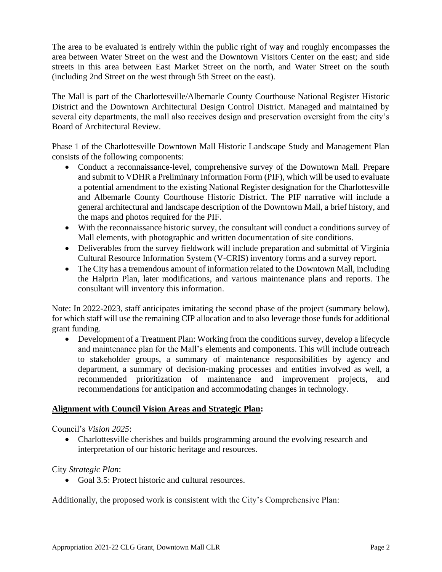The area to be evaluated is entirely within the public right of way and roughly encompasses the area between Water Street on the west and the Downtown Visitors Center on the east; and side streets in this area between East Market Street on the north, and Water Street on the south (including 2nd Street on the west through 5th Street on the east).

The Mall is part of the Charlottesville/Albemarle County Courthouse National Register Historic District and the Downtown Architectural Design Control District. Managed and maintained by several city departments, the mall also receives design and preservation oversight from the city's Board of Architectural Review.

Phase 1 of the Charlottesville Downtown Mall Historic Landscape Study and Management Plan consists of the following components:

- Conduct a reconnaissance-level, comprehensive survey of the Downtown Mall. Prepare and submit to VDHR a Preliminary Information Form (PIF), which will be used to evaluate a potential amendment to the existing National Register designation for the Charlottesville and Albemarle County Courthouse Historic District. The PIF narrative will include a general architectural and landscape description of the Downtown Mall, a brief history, and the maps and photos required for the PIF.
- With the reconnaissance historic survey, the consultant will conduct a conditions survey of Mall elements, with photographic and written documentation of site conditions.
- Deliverables from the survey fieldwork will include preparation and submittal of Virginia Cultural Resource Information System (V-CRIS) inventory forms and a survey report.
- The City has a tremendous amount of information related to the Downtown Mall, including the Halprin Plan, later modifications, and various maintenance plans and reports. The consultant will inventory this information.

Note: In 2022-2023, staff anticipates imitating the second phase of the project (summary below), for which staff will use the remaining CIP allocation and to also leverage those funds for additional grant funding.

• Development of a Treatment Plan: Working from the conditions survey, develop a lifecycle and maintenance plan for the Mall's elements and components. This will include outreach to stakeholder groups, a summary of maintenance responsibilities by agency and department, a summary of decision-making processes and entities involved as well, a recommended prioritization of maintenance and improvement projects, and recommendations for anticipation and accommodating changes in technology.

# **Alignment with Council Vision Areas and Strategic Plan:**

Council's *Vision 2025*:

• Charlottesville cherishes and builds programming around the evolving research and interpretation of our historic heritage and resources.

# City *Strategic Plan*:

• Goal 3.5: Protect historic and cultural resources.

Additionally, the proposed work is consistent with the City's Comprehensive Plan: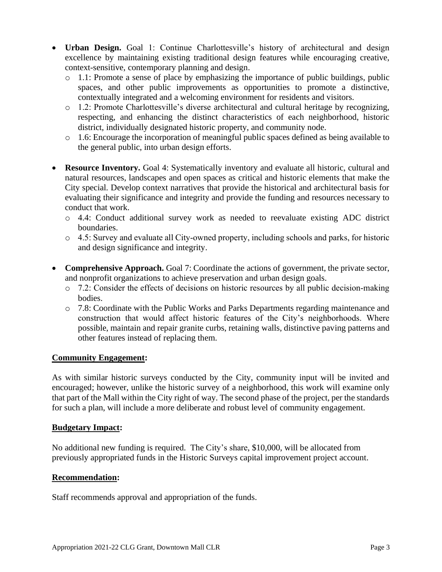- **Urban Design.** Goal 1: Continue Charlottesville's history of architectural and design excellence by maintaining existing traditional design features while encouraging creative, context-sensitive, contemporary planning and design.
	- o 1.1: Promote a sense of place by emphasizing the importance of public buildings, public spaces, and other public improvements as opportunities to promote a distinctive, contextually integrated and a welcoming environment for residents and visitors.
	- o 1.2: Promote Charlottesville's diverse architectural and cultural heritage by recognizing, respecting, and enhancing the distinct characteristics of each neighborhood, historic district, individually designated historic property, and community node.
	- o 1.6: Encourage the incorporation of meaningful public spaces defined as being available to the general public, into urban design efforts.
- **Resource Inventory.** Goal 4: Systematically inventory and evaluate all historic, cultural and natural resources, landscapes and open spaces as critical and historic elements that make the City special. Develop context narratives that provide the historical and architectural basis for evaluating their significance and integrity and provide the funding and resources necessary to conduct that work.
	- o 4.4: Conduct additional survey work as needed to reevaluate existing ADC district boundaries.
	- o 4.5: Survey and evaluate all City‐owned property, including schools and parks, for historic and design significance and integrity.
- **Comprehensive Approach.** Goal 7: Coordinate the actions of government, the private sector, and nonprofit organizations to achieve preservation and urban design goals.
	- o 7.2: Consider the effects of decisions on historic resources by all public decision‐making bodies.
	- o 7.8: Coordinate with the Public Works and Parks Departments regarding maintenance and construction that would affect historic features of the City's neighborhoods. Where possible, maintain and repair granite curbs, retaining walls, distinctive paving patterns and other features instead of replacing them.

# **Community Engagement:**

As with similar historic surveys conducted by the City, community input will be invited and encouraged; however, unlike the historic survey of a neighborhood, this work will examine only that part of the Mall within the City right of way. The second phase of the project, per the standards for such a plan, will include a more deliberate and robust level of community engagement.

## **Budgetary Impact:**

No additional new funding is required. The City's share, \$10,000, will be allocated from previously appropriated funds in the Historic Surveys capital improvement project account.

#### **Recommendation:**

Staff recommends approval and appropriation of the funds.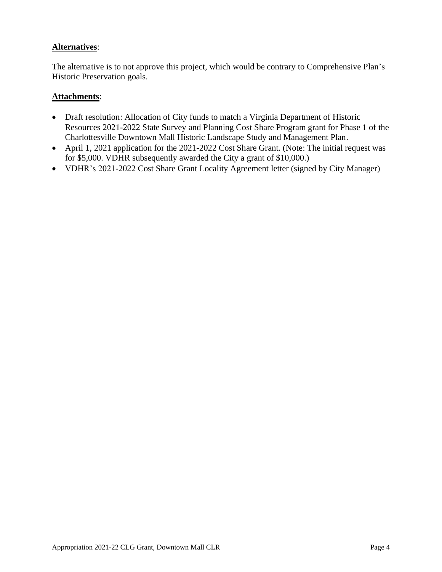## **Alternatives**:

The alternative is to not approve this project, which would be contrary to Comprehensive Plan's Historic Preservation goals.

## **Attachments**:

- Draft resolution: Allocation of City funds to match a Virginia Department of Historic Resources 2021-2022 State Survey and Planning Cost Share Program grant for Phase 1 of the Charlottesville Downtown Mall Historic Landscape Study and Management Plan.
- April 1, 2021 application for the 2021-2022 Cost Share Grant. (Note: The initial request was for \$5,000. VDHR subsequently awarded the City a grant of \$10,000.)
- VDHR's 2021-2022 Cost Share Grant Locality Agreement letter (signed by City Manager)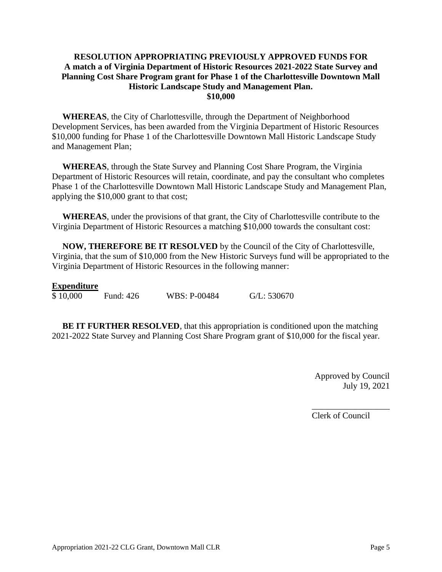## **RESOLUTION APPROPRIATING PREVIOUSLY APPROVED FUNDS FOR A match a of Virginia Department of Historic Resources 2021-2022 State Survey and Planning Cost Share Program grant for Phase 1 of the Charlottesville Downtown Mall Historic Landscape Study and Management Plan. \$10,000**

**WHEREAS**, the City of Charlottesville, through the Department of Neighborhood Development Services, has been awarded from the Virginia Department of Historic Resources \$10,000 funding for Phase 1 of the Charlottesville Downtown Mall Historic Landscape Study and Management Plan;

**WHEREAS**, through the State Survey and Planning Cost Share Program, the Virginia Department of Historic Resources will retain, coordinate, and pay the consultant who completes Phase 1 of the Charlottesville Downtown Mall Historic Landscape Study and Management Plan, applying the \$10,000 grant to that cost;

**WHEREAS**, under the provisions of that grant, the City of Charlottesville contribute to the Virginia Department of Historic Resources a matching \$10,000 towards the consultant cost:

**NOW, THEREFORE BE IT RESOLVED** by the Council of the City of Charlottesville, Virginia, that the sum of \$10,000 from the New Historic Surveys fund will be appropriated to the Virginia Department of Historic Resources in the following manner:

## **Expenditure**

\$ 10,000 Fund: 426 WBS: P-00484 G/L: 530670

**BE IT FURTHER RESOLVED**, that this appropriation is conditioned upon the matching 2021-2022 State Survey and Planning Cost Share Program grant of \$10,000 for the fiscal year.

> Approved by Council July 19, 2021

\_\_\_\_\_\_\_\_\_\_\_\_\_\_\_\_\_\_

Clerk of Council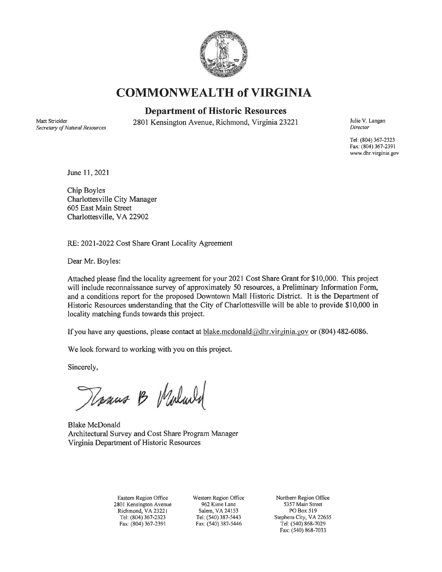

**COMMONWEALTH of VIRGINIA** 

## **Department of Historic Resources**

Matt Strickler Secretary of Natural Resources 2801 Kensington Avenue, Richmond, Virginia 23221

Julie V. Langan Director

Tel: (804) 367-2323 Fax: (804) 367-2391 www.dhr.virginia.gov

June 11, 2021

Chip Boyles Charlottesville City Manager 605 East Main Street Charlottesville, VA 22902

RE: 2021-2022 Cost Share Grant Locality Agreement

Dear Mr. Boyles:

Attached please find the locality agreement for your 2021 Cost Share Grant for \$10,000. This project will include reconnaissance survey of approximately 50 resources, a Preliminary Information Form, and a conditions report for the proposed Downtown Mall Historic District. It is the Department of Historic Resources understanding that the City of Charlottesville will be able to provide \$10,000 in locality matching funds towards this project.

If you have any questions, please contact at blake.mcdonald@dhr.virginia.gov or (804) 482-6086.

We look forward to working with you on this project.

Sincerely,

Rosaus B Waland

**Blake McDonald** Architectural Survey and Cost Share Program Manager Virginia Department of Historic Resources

Eastern Region Office 2801 Kensington Avenue Richmond, VA 23221 Tel: (804) 367-2323 Fax: (804) 367-2391

Western Region Office 962 Kime Lane Salem, VA 24153 Tel: (540) 387-5443 Fax: (540) 387-5446

Northern Region Office 5357 Main Street PO Box 519 Stephens City, VA 22655 Tel: (540) 868-7029 Fax: (540) 868-7033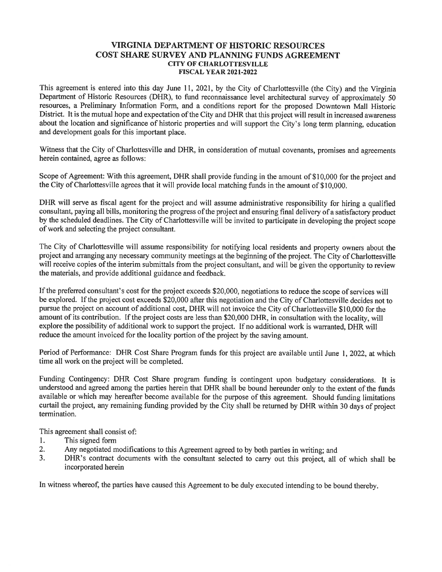#### **VIRGINIA DEPARTMENT OF HISTORIC RESOURCES** COST SHARE SURVEY AND PLANNING FUNDS AGREEMENT **CITY OF CHARLOTTESVILLE FISCAL YEAR 2021-2022**

This agreement is entered into this day June 11, 2021, by the City of Charlottesville (the City) and the Virginia Department of Historic Resources (DHR), to fund reconnaissance level architectural survey of approximately 50 resources, a Preliminary Information Form, and a conditions report for the proposed Downtown Mall Historic District. It is the mutual hope and expectation of the City and DHR that this project will result in increased awareness about the location and significance of historic properties and will support the City's long term planning, education and development goals for this important place.

Witness that the City of Charlottesville and DHR, in consideration of mutual covenants, promises and agreements herein contained, agree as follows:

Scope of Agreement: With this agreement, DHR shall provide funding in the amount of \$10,000 for the project and the City of Charlottesville agrees that it will provide local matching funds in the amount of \$10,000.

DHR will serve as fiscal agent for the project and will assume administrative responsibility for hiring a qualified consultant, paying all bills, monitoring the progress of the project and ensuring final delivery of a satisfactory product by the scheduled deadlines. The City of Charlottesville will be invited to participate in developing the project scope of work and selecting the project consultant.

The City of Charlottesville will assume responsibility for notifying local residents and property owners about the project and arranging any necessary community meetings at the beginning of the project. The City of Charlottesville will receive copies of the interim submittals from the project consultant, and will be given the opportunity to review the materials, and provide additional guidance and feedback.

If the preferred consultant's cost for the project exceeds \$20,000, negotiations to reduce the scope of services will be explored. If the project cost exceeds \$20,000 after this negotiation and the City of Charlottesville decides not to pursue the project on account of additional cost, DHR will not invoice the City of Charlottesville \$10,000 for the amount of its contribution. If the project costs are less than \$20,000 DHR, in consultation with the locality, will explore the possibility of additional work to support the project. If no additional work is warranted, DHR will reduce the amount invoiced for the locality portion of the project by the saving amount.

Period of Performance: DHR Cost Share Program funds for this project are available until June 1, 2022, at which time all work on the project will be completed.

Funding Contingency: DHR Cost Share program funding is contingent upon budgetary considerations. It is understood and agreed among the parties herein that DHR shall be bound hereunder only to the extent of the funds available or which may hereafter become available for the purpose of this agreement. Should funding limitations curtail the project, any remaining funding provided by the City shall be returned by DHR within 30 days of project termination.

This agreement shall consist of:

- This signed form 1.
- 2. Any negotiated modifications to this Agreement agreed to by both parties in writing; and
- $3.$ DHR's contract documents with the consultant selected to carry out this project, all of which shall be incorporated herein

In witness whereof, the parties have caused this Agreement to be duly executed intending to be bound thereby.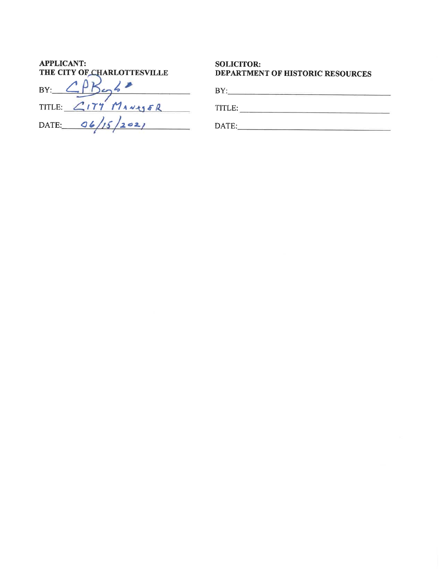| <b>APPLICANT:</b><br>THE CITY OF CHARLOTTESVILLE | <b>SOLICITOR:</b><br><b>DEPARTMENT OF HISTORIC RESOURCES</b> |
|--------------------------------------------------|--------------------------------------------------------------|
| BY:                                              | BY:                                                          |
| TITLE: CITY MANASER                              | TITLE:                                                       |
| DATE: $06/15/2021$                               | DATE:                                                        |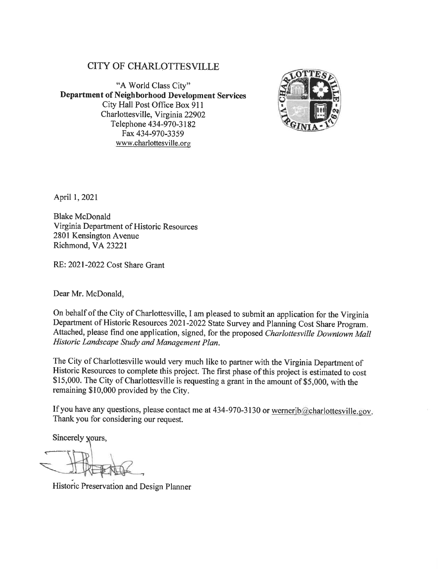# **CITY OF CHARLOTTESVILLE**

"A World Class City" **Department of Neighborhood Development Services** City Hall Post Office Box 911 Charlottesville, Virginia 22902 Telephone 434-970-3182 Fax 434-970-3359 www.charlottesville.org



April 1, 2021

**Blake McDonald** Virginia Department of Historic Resources 2801 Kensington Avenue Richmond, VA 23221

RE: 2021-2022 Cost Share Grant

Dear Mr. McDonald,

On behalf of the City of Charlottesville, I am pleased to submit an application for the Virginia Department of Historic Resources 2021-2022 State Survey and Planning Cost Share Program. Attached, please find one application, signed, for the proposed Charlottesville Downtown Mall Historic Landscape Study and Management Plan.

The City of Charlottesville would very much like to partner with the Virginia Department of Historic Resources to complete this project. The first phase of this project is estimated to cost \$15,000. The City of Charlottesville is requesting a grant in the amount of \$5,000, with the remaining \$10,000 provided by the City.

If you have any questions, please contact me at 434-970-3130 or wernerjb@charlottesville.gov. Thank you for considering our request.

Sincerely yours,

Historic Preservation and Design Planner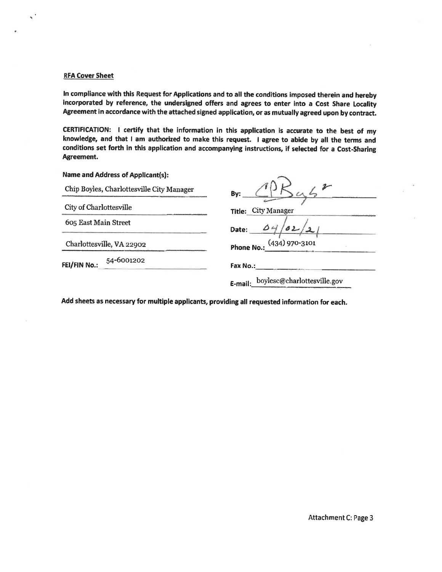#### **RFA Cover Sheet**

 $\lesssim$   $^{\prime}$ 

In compliance with this Request for Applications and to all the conditions imposed therein and hereby incorporated by reference, the undersigned offers and agrees to enter into a Cost Share Locality Agreement in accordance with the attached signed application, or as mutually agreed upon by contract.

CERTIFICATION: I certify that the information in this application is accurate to the best of my knowledge, and that I am authorized to make this request. I agree to abide by all the terms and conditions set forth in this application and accompanying instructions, if selected for a Cost-Sharing Agreement.

Name and Address of Applicant(s):

| By:                                 |
|-------------------------------------|
| Title: City Manager                 |
| $\Delta +$<br>Date:                 |
| Phone No.: (434) 970-3101           |
| Fax No.:                            |
| E-mail: boylesc@charlottesville.gov |
|                                     |

Add sheets as necessary for multiple applicants, providing all requested information for each.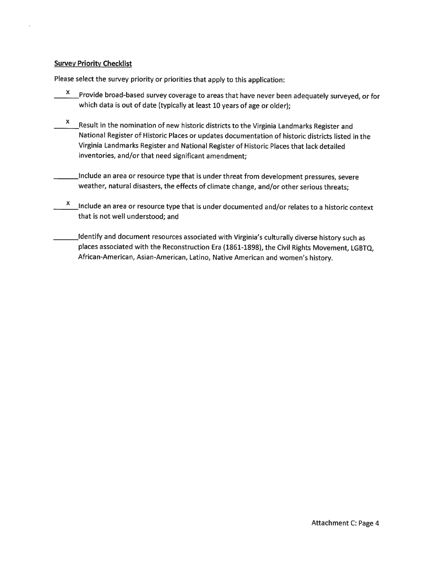#### **Survey Priority Checklist**

Please select the survey priority or priorities that apply to this application:

- $\frac{x}{x}$  Provide broad-based survey coverage to areas that have never been adequately surveyed, or for which data is out of date (typically at least 10 years of age or older);
- $\frac{x}{x}$  Result in the nomination of new historic districts to the Virginia Landmarks Register and National Register of Historic Places or updates documentation of historic districts listed in the Virginia Landmarks Register and National Register of Historic Places that lack detailed inventories, and/or that need significant amendment;
- Include an area or resource type that is under threat from development pressures, severe weather, natural disasters, the effects of climate change, and/or other serious threats;
- $\frac{x}{x}$  Include an area or resource type that is under documented and/or relates to a historic context that is not well understood; and
- Identify and document resources associated with Virginia's culturally diverse history such as places associated with the Reconstruction Era (1861-1898), the Civil Rights Movement, LGBTQ, African-American, Asian-American, Latino, Native American and women's history.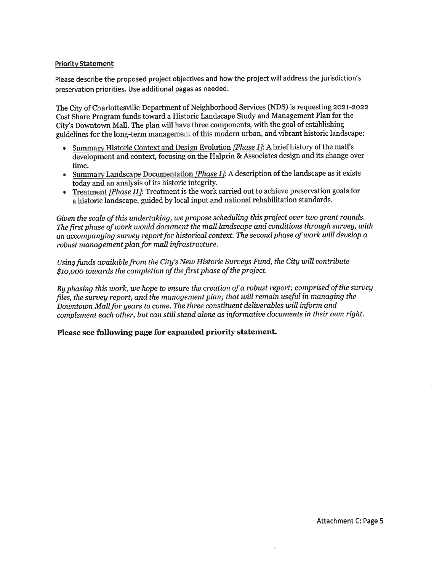#### **Priority Statement**

Please describe the proposed project objectives and how the project will address the jurisdiction's preservation priorities. Use additional pages as needed.

The City of Charlottesville Department of Neighborhood Services (NDS) is requesting 2021-2022 Cost Share Program funds toward a Historic Landscape Study and Management Plan for the City's Downtown Mall. The plan will have three components, with the goal of establishing guidelines for the long-term management of this modern urban, and vibrant historic landscape:

- Summary Historic Context and Design Evolution [Phase I]: A brief history of the mall's development and context, focusing on the Halprin & Associates design and its change over time.
- Summary Landscape Documentation [Phase I]: A description of the landscape as it exists  $\bullet$ today and an analysis of its historic integrity.
- Treatment [Phase II]: Treatment is the work carried out to achieve preservation goals for a historic landscape, guided by local input and national rehabilitation standards.

Given the scale of this undertaking, we propose scheduling this project over two grant rounds. The first phase of work would document the mall landscape and conditions through survey, with an accompanying survey report for historical context. The second phase of work will develop a robust management plan for mall infrastructure.

Using funds available from the City's New Historic Surveys Fund, the City will contribute \$10,000 towards the completion of the first phase of the project.

By phasing this work, we hope to ensure the creation of a robust report; comprised of the survey files, the survey report, and the management plan; that will remain useful in managing the Downtown Mall for years to come. The three constituent deliverables will inform and complement each other, but can still stand alone as informative documents in their own right.

Please see following page for expanded priority statement.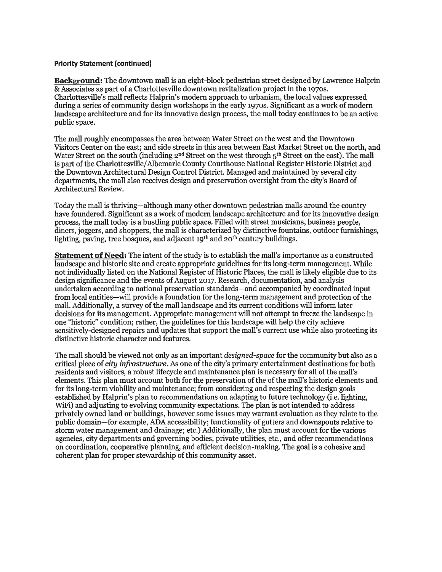#### **Priority Statement (continued)**

**Background:** The downtown mall is an eight-block pedestrian street designed by Lawrence Halprin & Associates as part of a Charlottesville downtown revitalization project in the 1970s. Charlottesville's mall reflects Halprin's modern approach to urbanism, the local values expressed during a series of community design workshops in the early 1970s. Significant as a work of modern landscape architecture and for its innovative design process, the mall today continues to be an active public space.

The mall roughly encompasses the area between Water Street on the west and the Downtown Visitors Center on the east; and side streets in this area between East Market Street on the north, and Water Street on the south (including 2<sup>nd</sup> Street on the west through 5<sup>th</sup> Street on the east). The mall is part of the Charlottesville/Albemarle County Courthouse National Register Historic District and the Downtown Architectural Design Control District. Managed and maintained by several city departments, the mall also receives design and preservation oversight from the city's Board of Architectural Review.

Today the mall is thriving—although many other downtown pedestrian malls around the country have foundered. Significant as a work of modern landscape architecture and for its innovative design process, the mall today is a bustling public space. Filled with street musicians, business people, diners, joggers, and shoppers, the mall is characterized by distinctive fountains, outdoor furnishings, lighting, paving, tree bosques, and adjacent 19<sup>th</sup> and 20<sup>th</sup> century buildings.

**Statement of Need:** The intent of the study is to establish the mall's importance as a constructed landscape and historic site and create appropriate guidelines for its long-term management. While not individually listed on the National Register of Historic Places, the mall is likely eligible due to its design significance and the events of August 2017. Research, documentation, and analysis undertaken according to national preservation standards—and accompanied by coordinated input from local entities—will provide a foundation for the long-term management and protection of the mall. Additionally, a survey of the mall landscape and its current conditions will inform later decisions for its management. Appropriate management will not attempt to freeze the landscape in one "historic" condition; rather, the guidelines for this landscape will help the city achieve sensitively-designed repairs and updates that support the mall's current use while also protecting its distinctive historic character and features.

The mall should be viewed not only as an important *designed-space* for the community but also as a critical piece of city infrastructure. As one of the city's primary entertainment destinations for both residents and visitors, a robust lifecycle and maintenance plan is necessary for all of the mall's elements. This plan must account both for the preservation of the of the mall's historic elements and for its long-term viability and maintenance; from considering and respecting the design goals established by Halprin's plan to recommendations on adapting to future technology (i.e. lighting, WiFi) and adjusting to evolving community expectations. The plan is not intended to address privately owned land or buildings, however some issues may warrant evaluation as they relate to the public domain—for example, ADA accessibility; functionality of gutters and downspouts relative to storm water management and drainage; etc.) Additionally, the plan must account for the various agencies, city departments and governing bodies, private utilities, etc., and offer recommendations on coordination, cooperative planning, and efficient decision-making. The goal is a cohesive and coherent plan for proper stewardship of this community asset.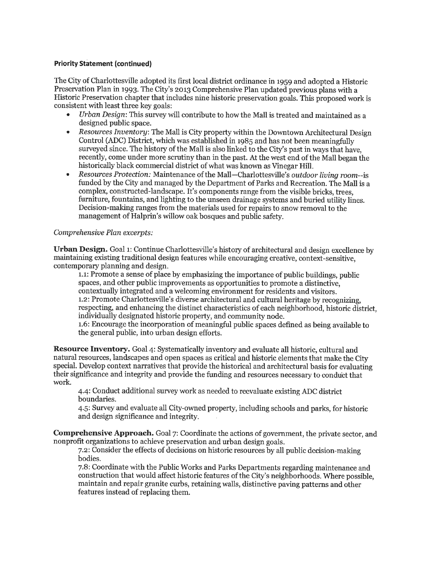#### **Priority Statement (continued)**

The City of Charlottesville adopted its first local district ordinance in 1959 and adopted a Historic Preservation Plan in 1993. The City's 2013 Comprehensive Plan updated previous plans with a Historic Preservation chapter that includes nine historic preservation goals. This proposed work is consistent with least three key goals:

- Urban Design: This survey will contribute to how the Mall is treated and maintained as a designed public space.
- Resources Inventory: The Mall is City property within the Downtown Architectural Design Control (ADC) District, which was established in 1985 and has not been meaningfully surveyed since. The history of the Mall is also linked to the City's past in ways that have. recently, come under more scrutiny than in the past. At the west end of the Mall began the historically black commercial district of what was known as Vinegar Hill.
- Resources Protection: Maintenance of the Mall—Charlottesville's outdoor living room--is funded by the City and managed by the Department of Parks and Recreation. The Mall is a complex, constructed-landscape. It's components range from the visible bricks, trees. furniture, fountains, and lighting to the unseen drainage systems and buried utility lines. Decision-making ranges from the materials used for repairs to snow removal to the management of Halprin's willow oak bosques and public safety.

#### Comprehensive Plan excerpts:

**Urban Design.** Goal 1: Continue Charlottesville's history of architectural and design excellence by maintaining existing traditional design features while encouraging creative, context-sensitive, contemporary planning and design.

1.1: Promote a sense of place by emphasizing the importance of public buildings, public spaces, and other public improvements as opportunities to promote a distinctive. contextually integrated and a welcoming environment for residents and visitors. 1.2: Promote Charlottesville's diverse architectural and cultural heritage by recognizing. respecting, and enhancing the distinct characteristics of each neighborhood, historic district, individually designated historic property, and community node.

1.6: Encourage the incorporation of meaningful public spaces defined as being available to the general public, into urban design efforts.

**Resource Inventory.** Goal 4: Systematically inventory and evaluate all historic, cultural and natural resources, landscapes and open spaces as critical and historic elements that make the City special. Develop context narratives that provide the historical and architectural basis for evaluating their significance and integrity and provide the funding and resources necessary to conduct that work.

4.4: Conduct additional survey work as needed to reevaluate existing ADC district boundaries.

4.5: Survey and evaluate all City-owned property, including schools and parks, for historic and design significance and integrity.

**Comprehensive Approach.** Goal 7: Coordinate the actions of government, the private sector, and nonprofit organizations to achieve preservation and urban design goals.

7.2: Consider the effects of decisions on historic resources by all public decision-making bodies.

7.8: Coordinate with the Public Works and Parks Departments regarding maintenance and construction that would affect historic features of the City's neighborhoods. Where possible, maintain and repair granite curbs, retaining walls, distinctive paving patterns and other features instead of replacing them.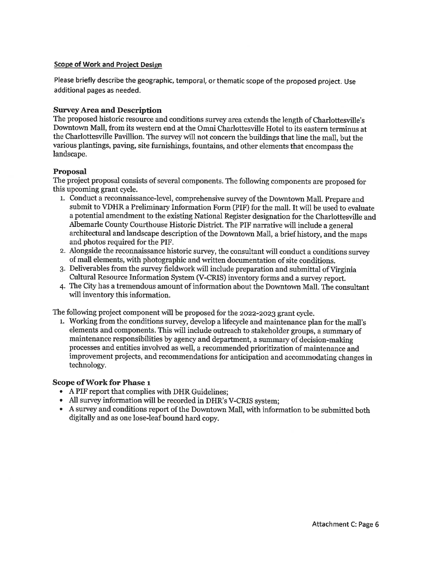#### **Scope of Work and Project Design**

Please briefly describe the geographic, temporal, or thematic scope of the proposed project. Use additional pages as needed.

#### **Survey Area and Description**

The proposed historic resource and conditions survey area extends the length of Charlottesville's Downtown Mall, from its western end at the Omni Charlottesville Hotel to its eastern terminus at the Charlottesville Pavillion. The survey will not concern the buildings that line the mall, but the various plantings, paving, site furnishings, fountains, and other elements that encompass the landscape.

#### Proposal

The project proposal consists of several components. The following components are proposed for this upcoming grant cycle.

- 1. Conduct a reconnaissance-level, comprehensive survey of the Downtown Mall. Prepare and submit to VDHR a Preliminary Information Form (PIF) for the mall. It will be used to evaluate a potential amendment to the existing National Register designation for the Charlottesville and Albemarle County Courthouse Historic District. The PIF narrative will include a general architectural and landscape description of the Downtown Mall, a brief history, and the maps and photos required for the PIF.
- 2. Alongside the reconnaissance historic survey, the consultant will conduct a conditions survey of mall elements, with photographic and written documentation of site conditions.
- 3. Deliverables from the survey fieldwork will include preparation and submittal of Virginia Cultural Resource Information System (V-CRIS) inventory forms and a survey report.
- 4. The City has a tremendous amount of information about the Downtown Mall. The consultant will inventory this information.

The following project component will be proposed for the 2022-2023 grant cycle.

1. Working from the conditions survey, develop a lifecycle and maintenance plan for the mall's elements and components. This will include outreach to stakeholder groups, a summary of maintenance responsibilities by agency and department, a summary of decision-making processes and entities involved as well, a recommended prioritization of maintenance and improvement projects, and recommendations for anticipation and accommodating changes in technology.

#### Scope of Work for Phase 1

- A PIF report that complies with DHR Guidelines;
- All survey information will be recorded in DHR's V-CRIS system;
- A survey and conditions report of the Downtown Mall, with information to be submitted both digitally and as one lose-leaf bound hard copy.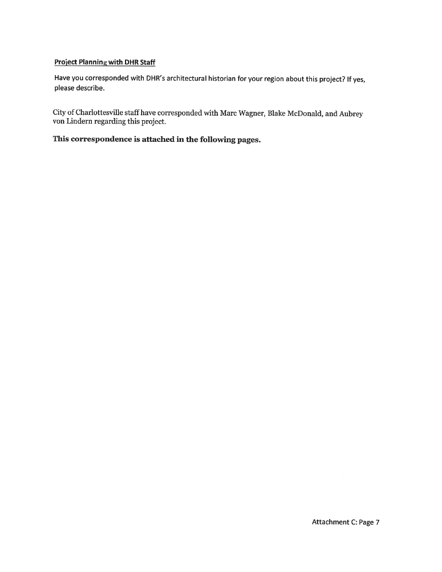## **Project Planning with DHR Staff**

Have you corresponded with DHR's architectural historian for your region about this project? If yes, please describe.

City of Charlottesville staff have corresponded with Marc Wagner, Blake McDonald, and Aubrey von Lindern regarding this project.

# This correspondence is attached in the following pages.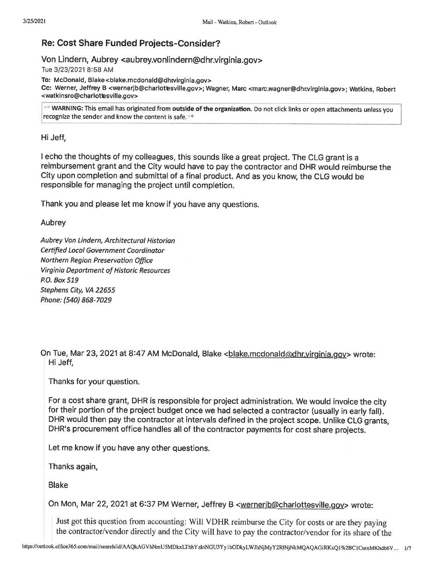# **Re: Cost Share Funded Projects-Consider?**

## Von Lindern, Aubrey <aubrey.vonlindern@dhr.virginia.gov>

Tue 3/23/2021 8:58 AM

To: McDonald, Blake <blake.mcdonald@dhtvirginia.gov>

Cc: Werner, Jeffrey B <wernerjb@charlotesville.gov>; Wagner, Marc <marc.wagner@dhr.virginia.gov>; Watkins, Robert <watkinsro@charlottesville.gov>

\*\* WARNING: This email has originated from outside of the organization. Do not click links or open attachments unless you recognize the sender and know the content is safe. \*

Hi Jeff.

I echo the thoughts of my colleagues, this sounds like a great project. The CLG grant is a reimbursement grant and the City would have to pay the contractor and DHR would reimburse the City upon completion and submittal of a final product. And as you know, the CLG would be responsible for managing the project until completion.

Thank you and please let me know if you have any questions.

Aubrey

Aubrey Von Lindern, Architectural Historian Certified Local Government Coordinator Northern Region Preservation Office **Virginia Department of Historic Resources** P.O. Box 519 Stephens City, VA 22655 Phone: (540) 868-7029

On Tue, Mar 23, 2021 at 8:47 AM McDonald, Blake <blake.mcdonald@dhr.virginia.gov> wrote: Hi Jeff.

Thanks for your question.

For a cost share grant, DHR is responsible for project administration. We would invoice the city for their portion of the project budget once we had selected a contractor (usually in early fall). DHR would then pay the contractor at intervals defined in the project scope. Unlike CLG grants, DHR's procurement office handles all of the contractor payments for cost share projects.

Let me know if you have any other questions.

Thanks again,

**Blake** 

On Mon, Mar 22, 2021 at 6:37 PM Werner, Jeffrey B <wernerjb@charlottesville.gov> wrote:

Just got this question from accounting: Will VDHR reimburse the City for costs or are they paying the contractor/vendor directly and the City will have to pay the contractor/vendor for its share of the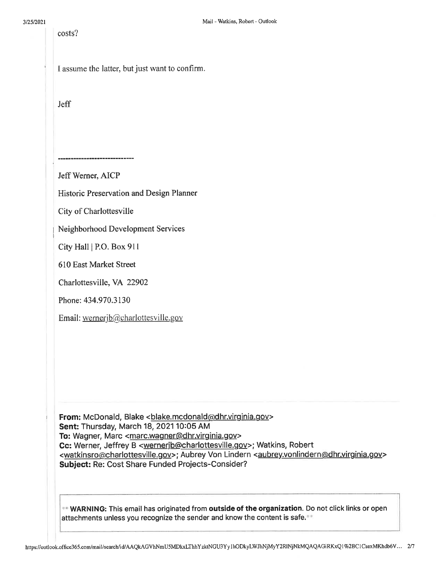costs?

|  |  |  | I assume the latter, but just want to confirm. |
|--|--|--|------------------------------------------------|

**Jeff** 

Jeff Werner, AICP

Historic Preservation and Design Planner

City of Charlottesville

Neighborhood Development Services

City Hall | P.O. Box 911

610 East Market Street

Charlottesville, VA 22902

Phone: 434.970.3130

Email: wernerjb@charlottesville.gov

From: McDonald, Blake <blake.mcdonald@dhr.virginia.gov> Sent: Thursday, March 18, 2021 10:05 AM To: Wagner, Marc <marc.wagner@dhr.virginia.gov> Cc: Werner, Jeffrey B <wernerjb@charlottesville.gov>; Watkins, Robert <watkinsro@charlottesville.gov>; Aubrey Von Lindern <aubrey.vonlindern@dhr.virginia.gov> Subject: Re: Cost Share Funded Projects-Consider?

WARNING: This email has originated from outside of the organization. Do not click links or open attachments unless you recognize the sender and know the content is safe.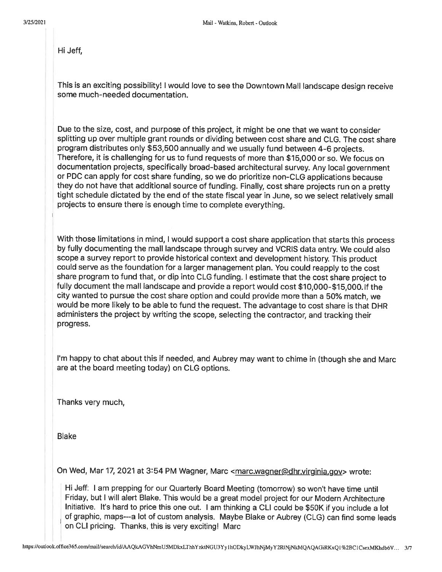Hi Jeff,

This is an exciting possibility! I would love to see the Downtown Mall landscape design receive some much-needed documentation.

Due to the size, cost, and purpose of this project, it might be one that we want to consider splitting up over multiple grant rounds or dividing between cost share and CLG. The cost share program distributes only \$53,500 annually and we usually fund between 4-6 projects. Therefore, it is challenging for us to fund requests of more than \$15,000 or so. We focus on documentation projects, specifically broad-based architectural survey. Any local government or PDC can apply for cost share funding, so we do prioritize non-CLG applications because they do not have that additional source of funding. Finally, cost share projects run on a pretty tight schedule dictated by the end of the state fiscal year in June, so we select relatively small projects to ensure there is enough time to complete everything.

With those limitations in mind, I would support a cost share application that starts this process by fully documenting the mall landscape through survey and VCRIS data entry. We could also scope a survey report to provide historical context and development history. This product could serve as the foundation for a larger management plan. You could reapply to the cost share program to fund that, or dip into CLG funding. I estimate that the cost share project to fully document the mall landscape and provide a report would cost \$10,000-\$15,000. If the city wanted to pursue the cost share option and could provide more than a 50% match, we would be more likely to be able to fund the request. The advantage to cost share is that DHR administers the project by writing the scope, selecting the contractor, and tracking their progress.

I'm happy to chat about this if needed, and Aubrey may want to chime in (though she and Marc are at the board meeting today) on CLG options.

Thanks very much,

**Blake** 

On Wed, Mar 17, 2021 at 3:54 PM Wagner, Marc <marc.wagner@dhr.virginia.gov> wrote:

Hi Jeff: I am prepping for our Quarterly Board Meeting (tomorrow) so won't have time until Friday, but I will alert Blake. This would be a great model project for our Modern Architecture Initiative. It's hard to price this one out. I am thinking a CLI could be \$50K if you include a lot of graphic, maps---a lot of custom analysis. Maybe Blake or Aubrey (CLG) can find some leads on CLI pricing. Thanks, this is very exciting! Marc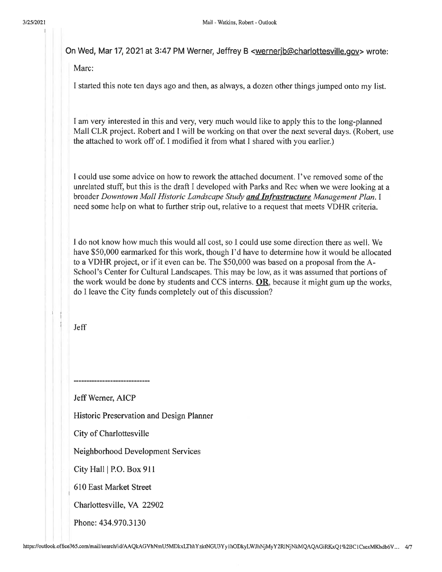On Wed, Mar 17, 2021 at 3:47 PM Werner, Jeffrey B <wernerjb@charlottesville.gov> wrote:

Marc:

I started this note ten days ago and then, as always, a dozen other things jumped onto my list.

I am very interested in this and very, very much would like to apply this to the long-planned Mall CLR project. Robert and I will be working on that over the next several days. (Robert, use the attached to work off of. I modified it from what I shared with you earlier.)

I could use some advice on how to rework the attached document. I've removed some of the unrelated stuff, but this is the draft I developed with Parks and Rec when we were looking at a broader Downtown Mall Historic Landscape Study and Infrastructure Management Plan. I need some help on what to further strip out, relative to a request that meets VDHR criteria.

I do not know how much this would all cost, so I could use some direction there as well. We have \$50,000 earmarked for this work, though I'd have to determine how it would be allocated to a VDHR project, or if it even can be. The \$50,000 was based on a proposal from the A-School's Center for Cultural Landscapes. This may be low, as it was assumed that portions of the work would be done by students and CCS interns.  $OR$ , because it might gum up the works, do I leave the City funds completely out of this discussion?

**Jeff** 

Jeff Werner, AICP

Historic Preservation and Design Planner

City of Charlottesville

\_\_\_\_\_\_\_\_\_\_\_\_\_\_\_\_\_\_\_\_\_

Neighborhood Development Services

City Hall | P.O. Box 911

610 East Market Street

Charlottesville, VA 22902

Phone: 434.970.3130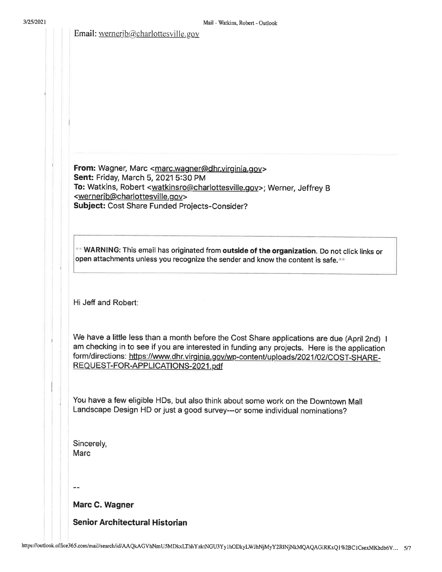Email: wernerjb@charlottesville.gov

From: Wagner, Marc <marc.wagner@dhr.virginia.gov> Sent: Friday, March 5, 2021 5:30 PM To: Watkins, Robert <watkinsro@charlottesville.gov>; Werner, Jeffrey B <wernerjb@charlottesville.gov>

Subject: Cost Share Funded Projects-Consider?

\*\* WARNING: This email has originated from outside of the organization. Do not click links or open attachments unless you recognize the sender and know the content is safe.

Mail - Watkins, Robert - Outlook

Hi Jeff and Robert:

We have a little less than a month before the Cost Share applications are due (April 2nd) I am checking in to see if you are interested in funding any projects. Here is the application form/directions: https://www.dhr.virginia.gov/wp-content/uploads/2021/02/COST-SHARE-REQUEST-FOR-APPLICATIONS-2021.pdf

You have a few eligible HDs, but also think about some work on the Downtown Mall Landscape Design HD or just a good survey---or some individual nominations?

Sincerely, **Marc** 

 $\sim$   $\sim$ 

Marc C. Wagner

**Senior Architectural Historian**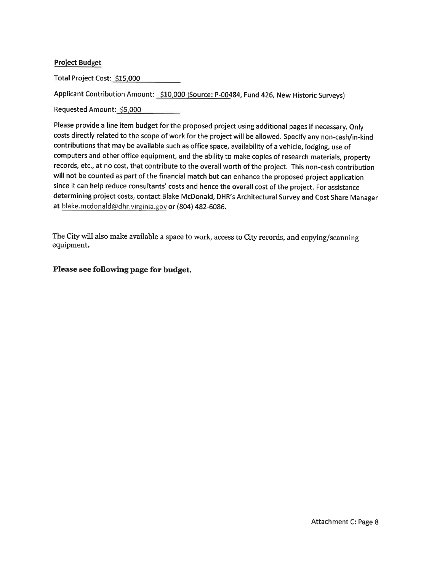## **Project Budget**

Total Project Cost: \$15,000

Applicant Contribution Amount: \$10,000 (Source: P-00484, Fund 426, New Historic Surveys)

Requested Amount: \$5,000

Please provide a line item budget for the proposed project using additional pages if necessary. Only costs directly related to the scope of work for the project will be allowed. Specify any non-cash/in-kind contributions that may be available such as office space, availability of a vehicle, lodging, use of computers and other office equipment, and the ability to make copies of research materials, property records, etc., at no cost, that contribute to the overall worth of the project. This non-cash contribution will not be counted as part of the financial match but can enhance the proposed project application since it can help reduce consultants' costs and hence the overall cost of the project. For assistance determining project costs, contact Blake McDonald, DHR's Architectural Survey and Cost Share Manager at blake.mcdonald@dhr.virginia.gov or (804) 482-6086.

The City will also make available a space to work, access to City records, and copying/scanning equipment.

Please see following page for budget.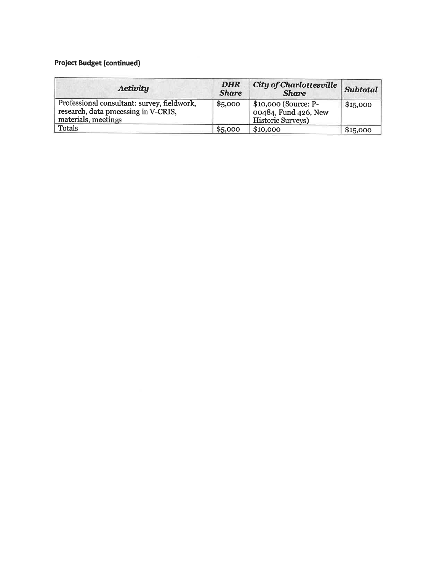# **Project Budget (continued)**

| Activity                                                                                                   | <b>DHR</b><br><b>Share</b> | <b>City of Charlottesville</b><br><b>Share</b>                           | <b>Subtotal</b> |
|------------------------------------------------------------------------------------------------------------|----------------------------|--------------------------------------------------------------------------|-----------------|
| Professional consultant: survey, fieldwork,<br>research, data processing in V-CRIS,<br>materials, meetings | \$5,000                    | \$10,000 (Source: P-<br>00484, Fund 426, New<br><b>Historic Surveys)</b> | \$15,000        |
| <b>Totals</b>                                                                                              | \$5,000                    | \$10,000                                                                 | \$15,000        |